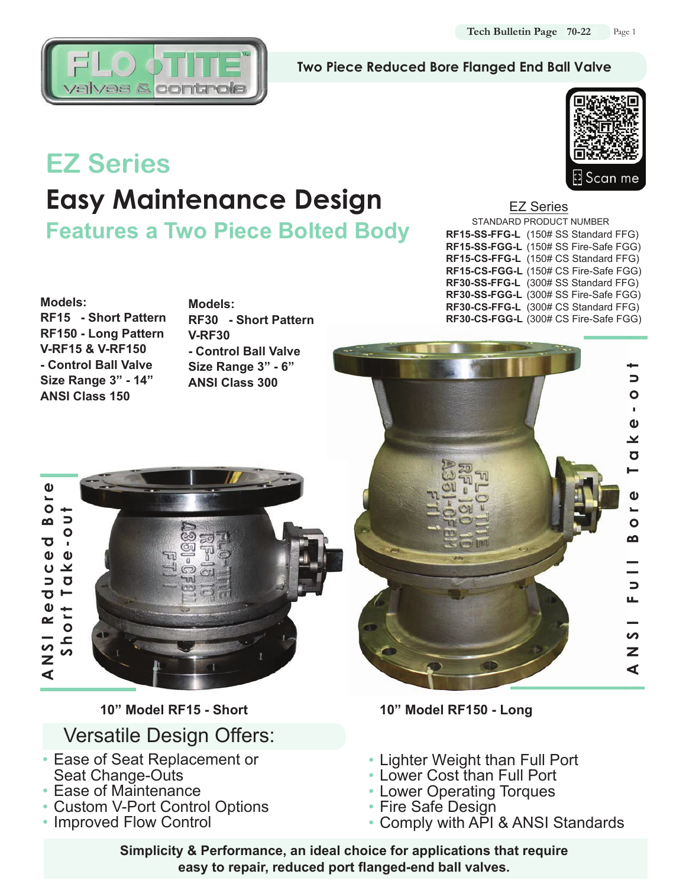

### **Two Piece Reduced Bore Flanged End Ball Valve**

# **EZ Series Easy Maintenance Design**

**Features a Two Piece Bolted Body**



EZ Series STANDARD PRODUCT NUMBER **RF15-SS-FFG-L** (150# SS Standard FFG) **RF15-SS-FGG-L** (150# SS Fire-Safe FGG) **RF15-CS-FFG-L** (150# CS Standard FFG) **RF15-CS-FGG-L** (150# CS Fire-Safe FGG) **RF30-SS-FFG-L** (300# SS Standard FFG) **RF30-SS-FGG-L** (300# SS Fire-Safe FGG) **RF30-CS-FFG-L** (300# CS Standard FFG) **RF30-CS-FGG-L** (300# CS Fire-Safe FGG)



**Models: RF15 - Short Pattern RF150 - Long Pattern V-RF15 & V-RF150 - Control Ball Valve Size Range 3" - 14" ANSI Class 150**

**Models: RF30 - Short Pattern V-RF30 - Control Ball Valve Size Range 3" - 6" ANSI Class 300**



# Versatile Design Offers:

- Ease of Seat Replacement or Seat Change-Outs
- Ease of Maintenance
- Custom V-Port Control Options
- Improved Flow Control

**10" Model RF15 - Short 10" Model RF150 - Long**

- Lighter Weight than Full Port
- Lower Cost than Full Port
- Lower Operating Torques
- Fire Safe Design
- Comply with API & ANSI Standards

**Simplicity & Performance, an ideal choice for applications that require easy to repair, reduced port flanged-end ball valves.**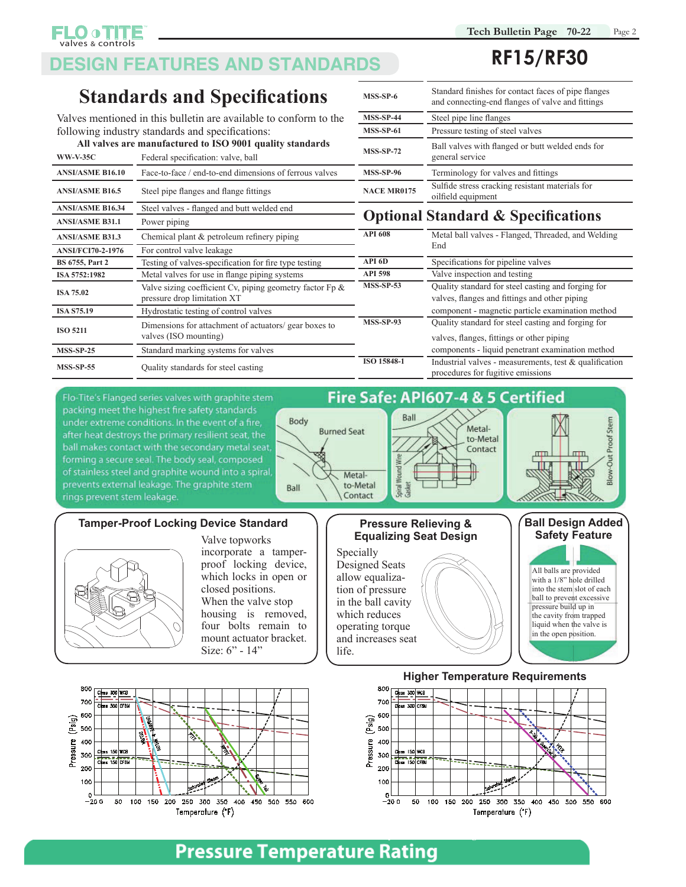# **DESIGN FEATURES AND STANDARDS**

### **Standards and Specifications**

valves & controls

Valves mentioned in this bulletin are available to conform to the following industry standards and specifications:

|                          | All valves are manufactured to ISO 9001 quality standards                                  |                                               | Ball valves with flanged or butt welded ends for                                                    |  |  |  |  |
|--------------------------|--------------------------------------------------------------------------------------------|-----------------------------------------------|-----------------------------------------------------------------------------------------------------|--|--|--|--|
| <b>WW-V-35C</b>          | Federal specification: valve, ball                                                         | <b>MSS-SP-72</b>                              | general service                                                                                     |  |  |  |  |
| <b>ANSI/ASME B16.10</b>  | Face-to-face / end-to-end dimensions of ferrous valves                                     | <b>MSS-SP-96</b>                              | Terminology for valves and fittings                                                                 |  |  |  |  |
| <b>ANSI/ASME B16.5</b>   | Steel pipe flanges and flange fittings                                                     | <b>NACE MR0175</b>                            | Sulfide stress cracking resistant materials for<br>oilfield equipment                               |  |  |  |  |
| <b>ANSI/ASME B16.34</b>  | Steel valves - flanged and butt welded end                                                 |                                               |                                                                                                     |  |  |  |  |
| <b>ANSI/ASME B31.1</b>   | Power piping                                                                               | <b>Optional Standard &amp; Specifications</b> |                                                                                                     |  |  |  |  |
| <b>ANSI/ASME B31.3</b>   | Chemical plant & petroleum refinery piping                                                 | <b>API 608</b>                                | Metal ball valves - Flanged, Threaded, and Welding                                                  |  |  |  |  |
| <b>ANSI/FCI70-2-1976</b> | For control valve leakage                                                                  |                                               | End                                                                                                 |  |  |  |  |
| <b>BS 6755, Part 2</b>   | Testing of valves-specification for fire type testing                                      | API 6D                                        | Specifications for pipeline valves                                                                  |  |  |  |  |
| ISA 5752:1982            | Metal valves for use in flange piping systems                                              | <b>API 598</b>                                | Valve inspection and testing                                                                        |  |  |  |  |
| <b>ISA 75.02</b>         | Valve sizing coefficient Cv, piping geometry factor $Fp \&$<br>pressure drop limitation XT | <b>MSS-SP-53</b>                              | Quality standard for steel casting and forging for<br>valves, flanges and fittings and other piping |  |  |  |  |
| <b>ISA S75.19</b>        | Hydrostatic testing of control valves                                                      |                                               | component - magnetic particle examination method                                                    |  |  |  |  |
| <b>ISO 5211</b>          | Dimensions for attachment of actuators/ gear boxes to<br>valves (ISO mounting)             | <b>MSS-SP-93</b>                              | Quality standard for steel casting and forging for<br>valves, flanges, fittings or other piping     |  |  |  |  |
| <b>MSS-SP-25</b>         | Standard marking systems for valves                                                        |                                               | components - liquid penetrant examination method                                                    |  |  |  |  |
| <b>MSS-SP-55</b>         | Quality standards for steel casting                                                        | ISO 15848-1                                   | Industrial valves - measurements, test & qualification<br>procedures for fugitive emissions         |  |  |  |  |

# **RF15/RF30**

| MSS-SP-6           | Standard finishes for contact faces of pipe flanges<br>and connecting-end flanges of valve and fittings |
|--------------------|---------------------------------------------------------------------------------------------------------|
| <b>MSS-SP-44</b>   | Steel pipe line flanges                                                                                 |
| <b>MSS-SP-61</b>   | Pressure testing of steel valves                                                                        |
| <b>MSS-SP-72</b>   | Ball valves with flanged or butt welded ends for<br>general service                                     |
| <b>MSS-SP-96</b>   | Terminology for valves and fittings                                                                     |
| <b>NACE MR0175</b> | Sulfide stress cracking resistant materials for<br>oilfield equipment                                   |
|                    |                                                                                                         |

### **Andard & Specifications**

| <b>API 608</b>   | Metal ball valves - Flanged, Threaded, and Welding<br>End |
|------------------|-----------------------------------------------------------|
|                  |                                                           |
| API 6D           | Specifications for pipeline valves                        |
| <b>API 598</b>   | Valve inspection and testing                              |
| $MSS-SP-53$      | Quality standard for steel casting and forging for        |
|                  | valves, flanges and fittings and other piping             |
|                  | component - magnetic particle examination method          |
| <b>MSS-SP-93</b> | Quality standard for steel casting and forging for        |
|                  | valves, flanges, fittings or other piping                 |
|                  | components - liquid penetrant examination method          |
| ISO 15848-1      | Industrial valves - measurements, test $\&$ qualification |
|                  | procedures for fugitive emissions                         |

Flo-Tite's Flanged series valves with graphite stem packing meet the highest fire safety standards under extreme conditions. In the event of a fire, after heat destroys the primary resilient seat, the ball makes contact with the secondary metal seat, forming a secure seal. The body seal, composed of stainless steel and graphite wound into a spiral, prevents external leakage. The graphite stem rings prevent stem leakage.



Ball

Fire Safe: API607-4 & 5 Certified

### **Tamper-Proof Locking Device Standard Pressure Relieving &**



incorporate a tamperproof locking device, which locks in open or closed positions. When the valve stop housing is removed, four bolts remain to mount actuator bracket. Size: 6" - 14"

Body



Specially Designed Seats allow equalization of pressure in the ball cavity which reduces operating torque and increases seat life.



 $\pi$ <sub> $\overline{\phantom{a}}$ </sub>

Blow-Out Proof Stem



# **Pressure Temperature Rating**

**Metal Seated Ball Valve will take full ANSI body metal material ratings.**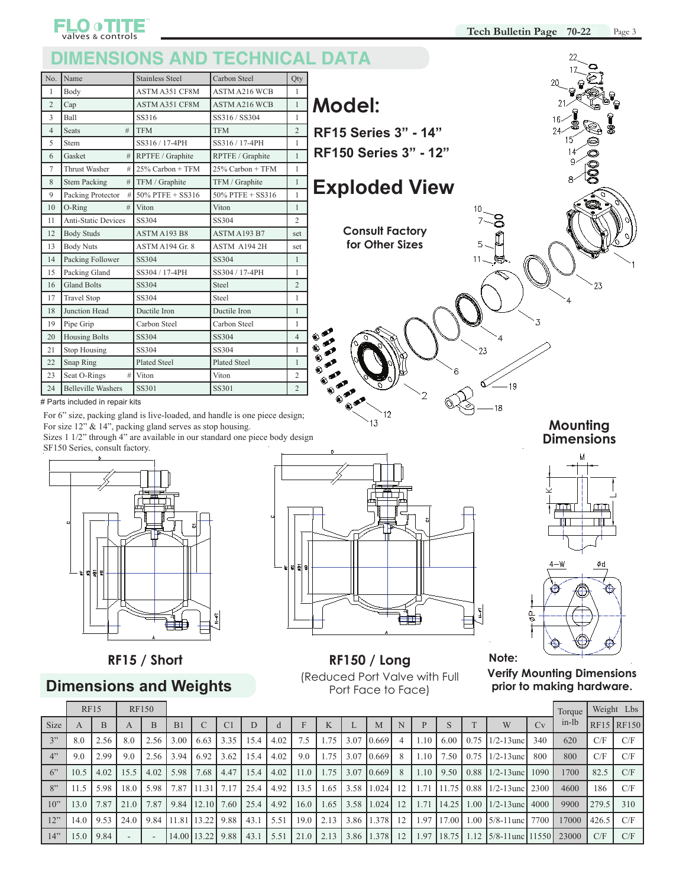### **DIMENSIONS AND TECHNICAL DATA**

| No.            | Name                       | <b>Stainless Steel</b> | Carbon Steel         | Qty            |
|----------------|----------------------------|------------------------|----------------------|----------------|
| $\mathbf{1}$   | Body                       | <b>ASTM A351 CF8M</b>  | <b>ASTM A216 WCB</b> | $\mathbf{1}$   |
| $\overline{2}$ | Cap                        | ASTM A351 CF8M         | <b>ASTM A216 WCB</b> | $\mathbf{1}$   |
| 3              | Ball                       | SS316                  | SS316 / SS304        | $\mathbf{1}$   |
| $\overline{4}$ | <b>Seats</b><br>#          | <b>TFM</b>             | <b>TFM</b>           | $\overline{2}$ |
| 5              | Stem                       | SS316 / 17-4PH         | SS316 / 17-4PH       | $\mathbf{1}$   |
| 6              | Gasket<br>#                | RPTFE / Graphite       | RPTFE / Graphite     | $\mathbf{1}$   |
| $\overline{7}$ | Thrust Washer<br>#         | $25\%$ Carbon + TFM    | 25% Carbon + TFM     | $\mathbf{1}$   |
| 8              | <b>Stem Packing</b><br>#   | TFM / Graphite         | TFM / Graphite       | $\mathbf{1}$   |
| 9              | Packing Protector<br>#     | 50% PTFE + SS316       | 50% PTFE + SS316     | $\mathbf{1}$   |
| 10             | O-Ring<br>#                | Viton                  | Viton                | $\mathbf{1}$   |
| 11             | <b>Anti-Static Devices</b> | SS304                  | SS304                | $\overline{c}$ |
| 12             | <b>Body Studs</b>          | ASTM A193 B8           | ASTM A193 B7         | set            |
| 13             | <b>Body Nuts</b>           | ASTM A194 Gr. 8        | ASTM A1942H          | set            |
| 14             | Packing Follower           | SS304                  | SS304                | $\mathbf{1}$   |
| 15             | Packing Gland              | SS304 / 17-4PH         | SS304 / 17-4PH       | $\mathbf{1}$   |
| 16             | <b>Gland Bolts</b>         | SS304                  | Steel                | $\overline{c}$ |
| 17             | <b>Travel Stop</b>         | SS304                  | Steel                | $\mathbf{1}$   |
| 18             | Junction Head              | Ductile Iron           | Ductile Iron         | $\mathbf{1}$   |
| 19             | Pipe Grip                  | Carbon Steel           | Carbon Steel         | $\mathbf{1}$   |
| 20             | <b>Housing Bolts</b>       | SS304                  | SS304                | $\overline{4}$ |
| 21             | <b>Stop Housing</b>        | SS304                  | SS304                | $\mathbf{1}$   |
| 22             | Snap Ring                  | <b>Plated Steel</b>    | <b>Plated Steel</b>  | $\mathbf{1}$   |
| 23             | Seat O-Rings<br>#          | Viton                  | Viton                | $\overline{c}$ |
| 24             | <b>Belleville Washers</b>  | <b>SS301</b>           | SS301                | $\overline{c}$ |



**FLO OTITE** 

For 6" size, packing gland is live-loaded, and handle is one piece design; For size 12" & 14", packing gland serves as stop housing.

Sizes 1 1/2" through 4" are available in our standard one piece body design SF150 Series, consult factory.



### **Dimensions and Weights**



**Consult Factory for Other Sizes**

**Exploded View**

**RF15 Series 3" - 14" RF150 Series 3" - 12"**

**Model:**

**RF15 / Short RF150 / Long** (Reduced Port Valve with Full Port Face to Face)

**Mounting Dimensions**

クろ



**Verify Mounting Dimensions prior to making hardware.**

**Note:**

 $-19$ 

18

|             | <b>RF15</b> |      |              | <b>RF150</b> |                |                        |               |      |        |             |               |      |                     |   |      |              |              |                                                                            |      | Torque |       | Weight Lbs              |
|-------------|-------------|------|--------------|--------------|----------------|------------------------|---------------|------|--------|-------------|---------------|------|---------------------|---|------|--------------|--------------|----------------------------------------------------------------------------|------|--------|-------|-------------------------|
| <b>Size</b> | A           | B    | $\mathsf{A}$ | <sub>B</sub> | B <sub>1</sub> |                        | C1            | D    |        |             | $\mathbb{R}$  |      | M                   |   |      | D.           |              | W                                                                          | Cv   | in-lb  |       | $RF15$ <sub>RF150</sub> |
| 3"          | 8.0         | 2.56 | 8.0          | 2.56         | 3.00           | 6.63                   | 13.35         | 15.4 | 4.02   | 7.5         | 1.75          | 3.07 | 0.669               | 4 | 1.10 | 6.00         | 0.75         | $1/2 - 13$ unc                                                             | 340  | 620    | C/F   | C/F                     |
| 4"          | 9.0         | 2.99 | 9.0          | 2.56         | 3.94           | 6.92                   | 3.62          | 15.4 | 4.02   | 9.0         | 1.75          | 3.07 | 0.669               | 8 | 1.10 | 7.50         | 0.75         | $1/2 - 13$ unc                                                             | 800  | 800    | C/F   | C/F                     |
| 6"          | 10.5        | 4.02 | 15.5         | 4.02         | 5.98           | 7.68                   | 4.47          | 15.4 | 4.02   | 11.0        | 1.75          | 3.07 | $0.669$ 8           |   | 1.10 | 9.50         | 0.88         | $1/2 - 13$ unc $1090$                                                      |      | 1700   | 82.5  | C/F                     |
| 8"          | 11.5        | 5.98 | 18.0         | 5.98         | 7.87           | 11.31                  | <b>1</b> 7.17 | 25.4 | 4.92   | 13.5        | 1.65          |      | $3.58$   1.024   12 |   | 1.71 | 11.75        |              | $0.88$ 1/2-13 unc 2300                                                     |      | 4600   | 186   | C/F                     |
| $10$ "      | 13.0        | 7.87 | 21.0         | 7.87         | 9.84           | $12.10$ 7.60           |               | 25.4 | 14.92  | 16.0        | 1.65          | 3.58 | $1.024$ 12          |   | 1.71 | 14.25        | 1.00         | $1/2 - 13$ unc                                                             | 4000 | 9900   | 279.5 | 310                     |
| 12"         | 14.0        | 9.53 | 24.0         | 9.84         |                | $11.81$ 13.22 9.88     |               | 43.1 | 1 5.51 |             | $19.0$   2.13 | 3.86 | $1.378$ 12          |   | 1.97 |              | 17.00   1.00 | $5/8-11$ unc                                                               | 7700 | 17000  | 426.5 | C/F                     |
| 14"         | 15.0        | 9.84 |              |              |                | $14.00$   13.22   9.88 |               | 43.1 | 15.51  | $21.0$ 2.13 |               | 3.86 | $1.378$ 12          |   | 1.97 | $18.75$ 1.12 |              | $\left  \frac{5}{8} - 11 \right $ and $\left  \frac{11550}{23000} \right $ |      |        | C/F   | C/F                     |